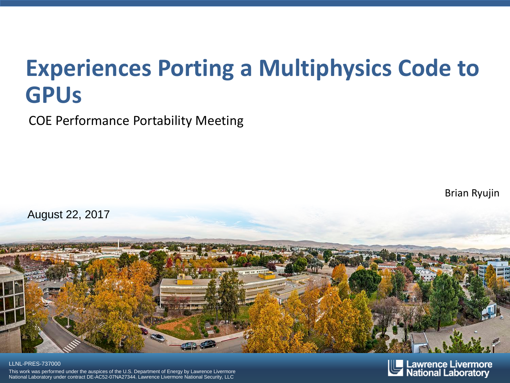# **Experiences Porting a Multiphysics Code to GPUs**

COE Performance Portability Meeting

Brian Ryujin



#### LLNL-PRES-737000

This work was performed under the auspices of the U.S. Department of Energy by Lawrence Livermore National Laboratory under contract DE-AC52-07NA27344. Lawrence Livermore National Security, LLC

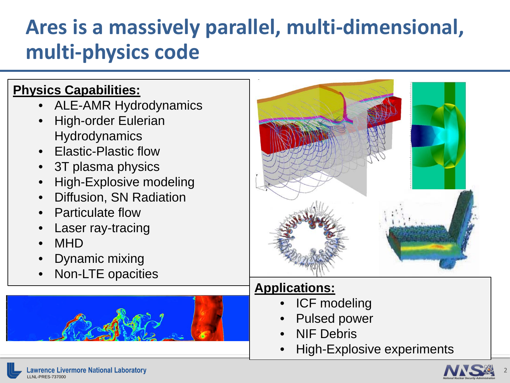# **Ares is a massively parallel, multi-dimensional, multi-physics code**

#### **Physics Capabilities:**

- ALE-AMR Hydrodynamics
- High-order Eulerian **Hydrodynamics**
- Elastic-Plastic flow
- 3T plasma physics
- High-Explosive modeling
- Diffusion, SN Radiation
- Particulate flow
- Laser ray-tracing
- MHD
- Dynamic mixing
- Non-LTE opacities





#### **Applications:**

- ICF modeling
- Pulsed power
- NIF Debris
- High-Explosive experiments



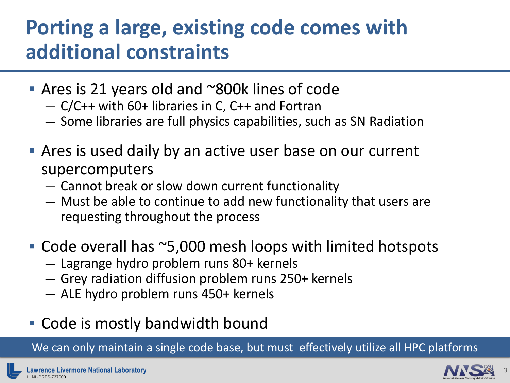### **Porting a large, existing code comes with additional constraints**

- Ares is 21 years old and ~800k lines of code
	- C/C++ with 60+ libraries in C, C++ and Fortran
	- Some libraries are full physics capabilities, such as SN Radiation
- Ares is used daily by an active user base on our current supercomputers
	- Cannot break or slow down current functionality
	- Must be able to continue to add new functionality that users are requesting throughout the process
- Code overall has ~5,000 mesh loops with limited hotspots
	- Lagrange hydro problem runs 80+ kernels
	- Grey radiation diffusion problem runs 250+ kernels
	- ALE hydro problem runs 450+ kernels
- Code is mostly bandwidth bound

We can only maintain a single code base, but must effectively utilize all HPC platforms

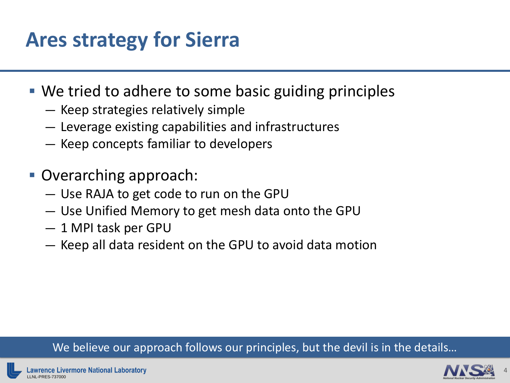# **Ares strategy for Sierra**

- We tried to adhere to some basic guiding principles
	- Keep strategies relatively simple
	- Leverage existing capabilities and infrastructures
	- Keep concepts familiar to developers
- Overarching approach:
	- Use RAJA to get code to run on the GPU
	- Use Unified Memory to get mesh data onto the GPU
	- 1 MPI task per GPU
	- Keep all data resident on the GPU to avoid data motion

#### We believe our approach follows our principles, but the devil is in the details...

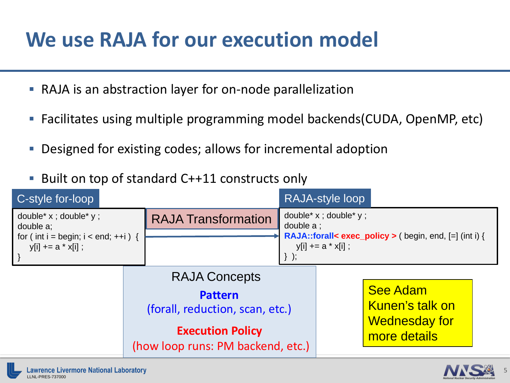### **We use RAJA for our execution model**

- RAJA is an abstraction layer for on-node parallelization
- Facilitates using multiple programming model backends(CUDA, OpenMP, etc)
- **Designed for existing codes; allows for incremental adoption**
- Built on top of standard C++11 constructs only

| C-style for-loop                                                           |                                                                                                                                           |                                                                                                                                                 | <b>RAJA-style loop</b>                                                     |  |  |
|----------------------------------------------------------------------------|-------------------------------------------------------------------------------------------------------------------------------------------|-------------------------------------------------------------------------------------------------------------------------------------------------|----------------------------------------------------------------------------|--|--|
| double* $x$ ; double* $y$ ;<br>double a:                                   | <b>RAJA Transformation</b>                                                                                                                | double* x ; double* y ;<br>double a ;<br><b>RAJA::forall&lt; exec_policy &gt; (begin, end, [=] (int i) {</b><br>$y[i] += a * x[i]$ ;<br>$\}$ ); |                                                                            |  |  |
| for (int i = begin; $i <$ end; ++i) {<br>$y[i] += a * x[i]$ ;<br>$\vert$ } |                                                                                                                                           |                                                                                                                                                 |                                                                            |  |  |
|                                                                            | <b>RAJA Concepts</b><br><b>Pattern</b><br>(forall, reduction, scan, etc.)<br><b>Execution Policy</b><br>(how loop runs: PM backend, etc.) |                                                                                                                                                 | <b>See Adam</b><br>Kunen's talk on<br><b>Wednesday for</b><br>more details |  |  |



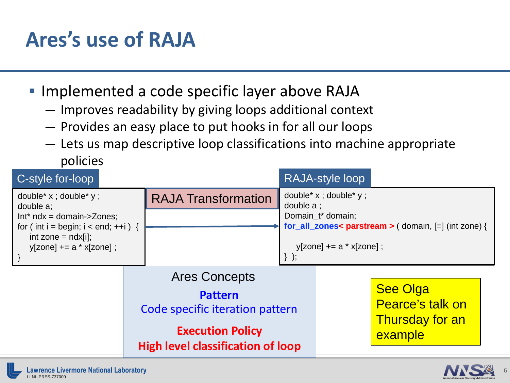# **Ares's use of RAJA**

- **Implemented a code specific layer above RAJA** 
	- Improves readability by giving loops additional context
	- Provides an easy place to put hooks in for all our loops
	- Lets us map descriptive loop classifications into machine appropriate policies

| C-style for-loop                                                                                              |                                                                                                                                                  |                            |                                                                                                                            | RAJA-style loop                                                   |  |
|---------------------------------------------------------------------------------------------------------------|--------------------------------------------------------------------------------------------------------------------------------------------------|----------------------------|----------------------------------------------------------------------------------------------------------------------------|-------------------------------------------------------------------|--|
| double* x ; double* y ;<br>double a;<br>$Int^*$ ndx = domain->Zones;<br>for (int i = begin; $i <$ end; ++i) { |                                                                                                                                                  | <b>RAJA Transformation</b> | double* x ; double* y ;<br>double a ;<br>Domain_t* domain;<br>for_all_zones< parstream > $($ domain, $[=]$ (int zone) $\{$ |                                                                   |  |
|                                                                                                               |                                                                                                                                                  |                            |                                                                                                                            |                                                                   |  |
| int zone = $ndx[i]$ ;<br>$y[zone] += a * x[zone];$                                                            |                                                                                                                                                  |                            | $y[zone] += a * x[zone];$                                                                                                  |                                                                   |  |
|                                                                                                               | <b>Ares Concepts</b><br><b>Pattern</b><br>Code specific iteration pattern<br><b>Execution Policy</b><br><b>High level classification of loop</b> |                            |                                                                                                                            | <b>See Olga</b><br>Pearce's talk on<br>Thursday for an<br>example |  |



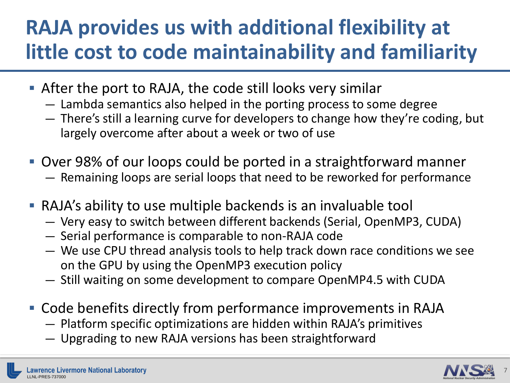## **RAJA provides us with additional flexibility at little cost to code maintainability and familiarity**

- After the port to RAJA, the code still looks very similar
	- Lambda semantics also helped in the porting process to some degree
	- There's still a learning curve for developers to change how they're coding, but largely overcome after about a week or two of use
- Over 98% of our loops could be ported in a straightforward manner — Remaining loops are serial loops that need to be reworked for performance
- RAJA's ability to use multiple backends is an invaluable tool
	- Very easy to switch between different backends (Serial, OpenMP3, CUDA)
	- Serial performance is comparable to non-RAJA code
	- We use CPU thread analysis tools to help track down race conditions we see on the GPU by using the OpenMP3 execution policy
	- Still waiting on some development to compare OpenMP4.5 with CUDA
- Code benefits directly from performance improvements in RAJA
	- Platform specific optimizations are hidden within RAJA's primitives
	- Upgrading to new RAJA versions has been straightforward

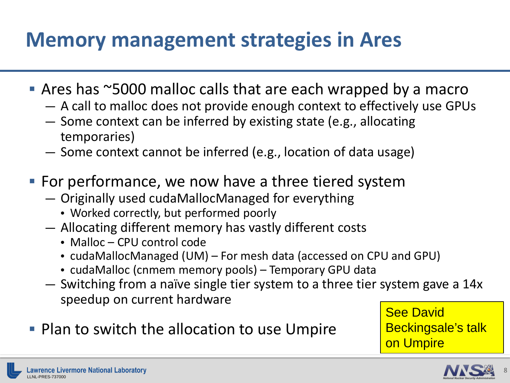### **Memory management strategies in Ares**

- Ares has ~5000 malloc calls that are each wrapped by a macro
	- A call to malloc does not provide enough context to effectively use GPUs
	- Some context can be inferred by existing state (e.g., allocating temporaries)
	- Some context cannot be inferred (e.g., location of data usage)
- **For performance, we now have a three tiered system** 
	- Originally used cudaMallocManaged for everything
		- Worked correctly, but performed poorly
	- Allocating different memory has vastly different costs
		- Malloc CPU control code
		- cudaMallocManaged (UM) For mesh data (accessed on CPU and GPU)
		- cudaMalloc (cnmem memory pools) Temporary GPU data
	- Switching from a naïve single tier system to a three tier system gave a 14x speedup on current hardware
- **Plan to switch the allocation to use Umpire**

See David Beckingsale's talk on Umpire

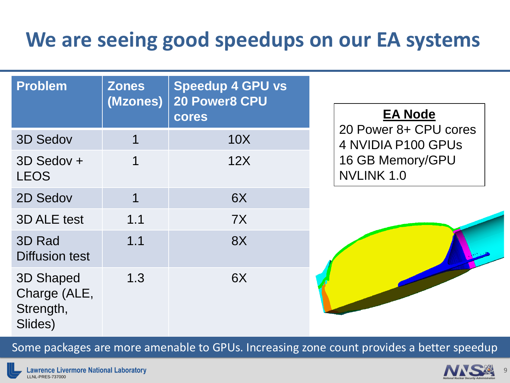### **We are seeing good speedups on our EA systems**

| <b>Problem</b>                                    | <b>Zones</b><br>(Mzones) | <b>Speedup 4 GPU vs</b><br>20 Power8 CPU<br>cores | <b>EA Node</b>                              |
|---------------------------------------------------|--------------------------|---------------------------------------------------|---------------------------------------------|
| <b>3D Sedov</b>                                   | $\overline{1}$           | 10X                                               | 20 Power 8+ CPU cores<br>4 NVIDIA P100 GPUS |
| 3D Sedov +<br><b>LEOS</b>                         | 1                        | 12X                                               | 16 GB Memory/GPU<br>NVLINK 1.0              |
| 2D Sedov                                          | 1                        | 6X                                                |                                             |
| <b>3D ALE test</b>                                | 1.1                      | 7X                                                |                                             |
| 3D Rad<br><b>Diffusion test</b>                   | 1.1                      | 8X                                                |                                             |
| 3D Shaped<br>Charge (ALE,<br>Strength,<br>Slides) | 1.3                      | 6X                                                |                                             |

Some packages are more amenable to GPUs. Increasing zone count provides a better speedup

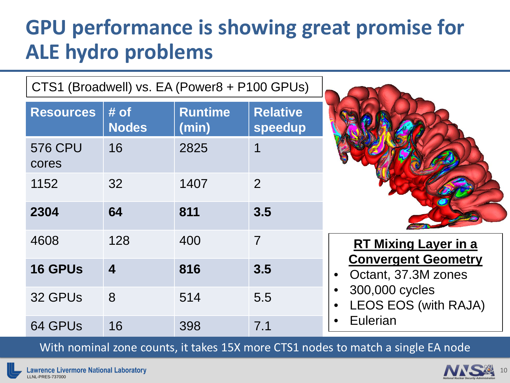### **GPU performance is showing great promise for ALE hydro problems**

CTS1 (Broadwell) vs. EA (Power8 + P100 GPUs)

| <b>Resources</b>        | # of<br><b>Nodes</b> | <b>Runtime</b><br>(min) | <b>Relative</b><br>speedup |
|-------------------------|----------------------|-------------------------|----------------------------|
| <b>576 CPU</b><br>cores | 16                   | 2825                    | 1                          |
| 1152                    | 32                   | 1407                    | 2                          |
| 2304                    | 64                   | 811                     | 3.5                        |
| 4608                    | 128                  | 400                     | $\overline{7}$             |
| <b>16 GPUs</b>          | $\boldsymbol{4}$     | 816                     | 3.5                        |
| 32 GPUs                 | 8                    | 514                     | 5.5                        |
| 64 GPUs                 | 16                   | 398                     | 7.1                        |



#### **RT Mixing Layer in a Convergent Geometry**

- Octant, 37.3M zones
- 300,000 cycles
- LEOS EOS (with RAJA)
- **Eulerian**

With nominal zone counts, it takes 15X more CTS1 nodes to match a single EA node

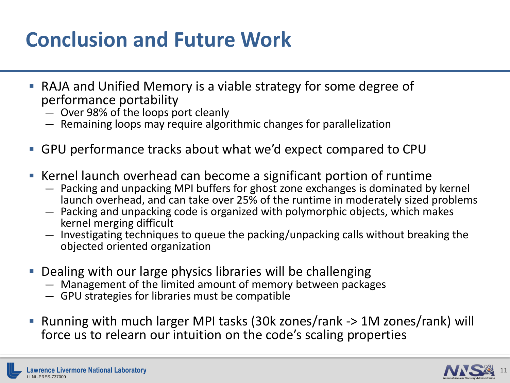# **Conclusion and Future Work**

- RAJA and Unified Memory is a viable strategy for some degree of performance portability
	- Over 98% of the loops port cleanly
	- Remaining loops may require algorithmic changes for parallelization
- GPU performance tracks about what we'd expect compared to CPU
- Kernel launch overhead can become a significant portion of runtime
	- Packing and unpacking MPI buffers for ghost zone exchanges is dominated by kernel launch overhead, and can take over 25% of the runtime in moderately sized problems
	- Packing and unpacking code is organized with polymorphic objects, which makes kernel merging difficult
	- Investigating techniques to queue the packing/unpacking calls without breaking the objected oriented organization
- Dealing with our large physics libraries will be challenging
	- Management of the limited amount of memory between packages
	- GPU strategies for libraries must be compatible
- Running with much larger MPI tasks (30k zones/rank -> 1M zones/rank) will force us to relearn our intuition on the code's scaling properties

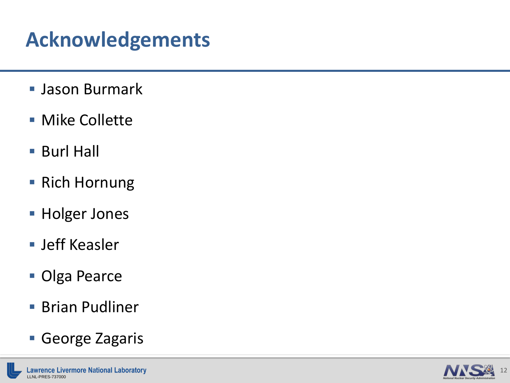# **Acknowledgements**

- Jason Burmark
- **Mike Collette**
- Burl Hall
- Rich Hornung
- **Holger Jones**
- Jeff Keasler
- **Olga Pearce**
- **Brian Pudliner**
- George Zagaris